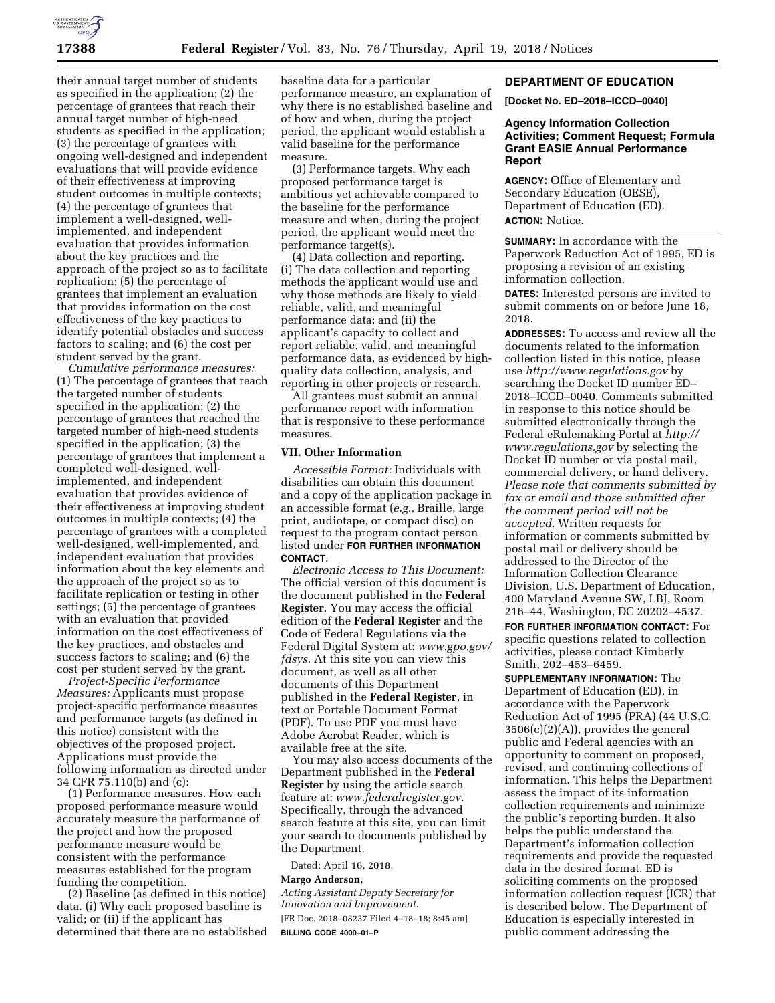

their annual target number of students as specified in the application; (2) the percentage of grantees that reach their annual target number of high-need students as specified in the application; (3) the percentage of grantees with ongoing well-designed and independent evaluations that will provide evidence of their effectiveness at improving student outcomes in multiple contexts; (4) the percentage of grantees that implement a well-designed, wellimplemented, and independent evaluation that provides information about the key practices and the approach of the project so as to facilitate replication; (5) the percentage of grantees that implement an evaluation that provides information on the cost effectiveness of the key practices to identify potential obstacles and success factors to scaling; and (6) the cost per student served by the grant.

*Cumulative performance measures:*  (1) The percentage of grantees that reach the targeted number of students specified in the application; (2) the percentage of grantees that reached the targeted number of high-need students specified in the application; (3) the percentage of grantees that implement a completed well-designed, wellimplemented, and independent evaluation that provides evidence of their effectiveness at improving student outcomes in multiple contexts; (4) the percentage of grantees with a completed well-designed, well-implemented, and independent evaluation that provides information about the key elements and the approach of the project so as to facilitate replication or testing in other settings; (5) the percentage of grantees with an evaluation that provided information on the cost effectiveness of the key practices, and obstacles and success factors to scaling; and (6) the cost per student served by the grant.

*Project-Specific Performance Measures:* Applicants must propose project-specific performance measures and performance targets (as defined in this notice) consistent with the objectives of the proposed project. Applications must provide the following information as directed under 34 CFR 75.110(b) and (c):

(1) Performance measures. How each proposed performance measure would accurately measure the performance of the project and how the proposed performance measure would be consistent with the performance measures established for the program funding the competition.

(2) Baseline (as defined in this notice) data. (i) Why each proposed baseline is valid; or (ii) if the applicant has determined that there are no established baseline data for a particular performance measure, an explanation of why there is no established baseline and of how and when, during the project period, the applicant would establish a valid baseline for the performance measure.

(3) Performance targets. Why each proposed performance target is ambitious yet achievable compared to the baseline for the performance measure and when, during the project period, the applicant would meet the performance target(s).

(4) Data collection and reporting. (i) The data collection and reporting methods the applicant would use and why those methods are likely to yield reliable, valid, and meaningful performance data; and (ii) the applicant's capacity to collect and report reliable, valid, and meaningful performance data, as evidenced by highquality data collection, analysis, and reporting in other projects or research.

All grantees must submit an annual performance report with information that is responsive to these performance measures.

#### **VII. Other Information**

*Accessible Format:* Individuals with disabilities can obtain this document and a copy of the application package in an accessible format (*e.g.,* Braille, large print, audiotape, or compact disc) on request to the program contact person listed under **FOR FURTHER INFORMATION CONTACT**.

*Electronic Access to This Document:*  The official version of this document is the document published in the **Federal Register**. You may access the official edition of the **Federal Register** and the Code of Federal Regulations via the Federal Digital System at: *[www.gpo.gov/](http://www.gpo.gov/fdsys)  [fdsys.](http://www.gpo.gov/fdsys)* At this site you can view this document, as well as all other documents of this Department published in the **Federal Register**, in text or Portable Document Format (PDF). To use PDF you must have Adobe Acrobat Reader, which is available free at the site.

You may also access documents of the Department published in the **Federal Register** by using the article search feature at: *[www.federalregister.gov.](http://www.federalregister.gov)*  Specifically, through the advanced search feature at this site, you can limit your search to documents published by the Department.

Dated: April 16, 2018.

### **Margo Anderson,**

*Acting Assistant Deputy Secretary for Innovation and Improvement.*  [FR Doc. 2018–08237 Filed 4–18–18; 8:45 am] **BILLING CODE 4000–01–P** 

#### **DEPARTMENT OF EDUCATION**

**[Docket No. ED–2018–ICCD–0040]** 

# **Agency Information Collection Activities; Comment Request; Formula Grant EASIE Annual Performance Report**

**AGENCY:** Office of Elementary and Secondary Education (OESE), Department of Education (ED). **ACTION:** Notice.

**SUMMARY:** In accordance with the Paperwork Reduction Act of 1995, ED is proposing a revision of an existing information collection.

**DATES:** Interested persons are invited to submit comments on or before June 18, 2018.

**ADDRESSES:** To access and review all the documents related to the information collection listed in this notice, please use *<http://www.regulations.gov>*by searching the Docket ID number ED– 2018–ICCD–0040. Comments submitted in response to this notice should be submitted electronically through the Federal eRulemaking Portal at *[http://](http://www.regulations.gov) [www.regulations.gov](http://www.regulations.gov)* by selecting the Docket ID number or via postal mail, commercial delivery, or hand delivery. *Please note that comments submitted by fax or email and those submitted after the comment period will not be accepted.* Written requests for information or comments submitted by postal mail or delivery should be addressed to the Director of the Information Collection Clearance Division, U.S. Department of Education, 400 Maryland Avenue SW, LBJ, Room 216–44, Washington, DC 20202–4537.

**FOR FURTHER INFORMATION CONTACT:** For specific questions related to collection activities, please contact Kimberly Smith, 202–453–6459.

**SUPPLEMENTARY INFORMATION:** The Department of Education (ED), in accordance with the Paperwork Reduction Act of 1995 (PRA) (44 U.S.C. 3506(c)(2)(A)), provides the general public and Federal agencies with an opportunity to comment on proposed, revised, and continuing collections of information. This helps the Department assess the impact of its information collection requirements and minimize the public's reporting burden. It also helps the public understand the Department's information collection requirements and provide the requested data in the desired format. ED is soliciting comments on the proposed information collection request (ICR) that is described below. The Department of Education is especially interested in public comment addressing the